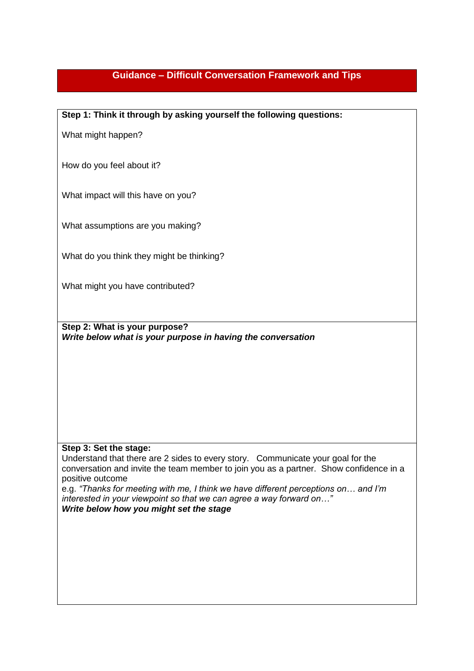## **Guidance – Difficult Conversation Framework and Tips**

**Step 1: Think it through by asking yourself the following questions:**

What might happen?

How do you feel about it?

What impact will this have on you?

What assumptions are you making?

What do you think they might be thinking?

What might you have contributed?

**Step 2: What is your purpose?** *Write below what is your purpose in having the conversation*

## **Step 3: Set the stage:**

Understand that there are 2 sides to every story. Communicate your goal for the conversation and invite the team member to join you as a partner. Show confidence in a positive outcome

e.g. *"Thanks for meeting with me, I think we have different perceptions on… and I'm interested in your viewpoint so that we can agree a way forward on…" Write below how you might set the stage*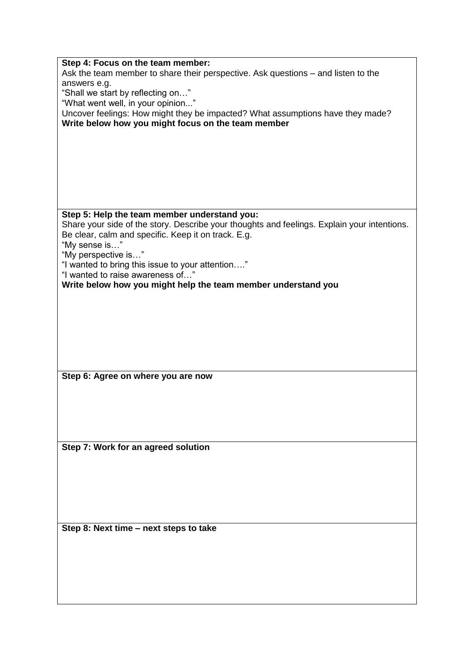| Step 4: Focus on the team member:                                                           |
|---------------------------------------------------------------------------------------------|
| Ask the team member to share their perspective. Ask questions – and listen to the           |
| answers e.g.                                                                                |
| "Shall we start by reflecting on"                                                           |
| "What went well, in your opinion"                                                           |
| Uncover feelings: How might they be impacted? What assumptions have they made?              |
| Write below how you might focus on the team member                                          |
|                                                                                             |
|                                                                                             |
|                                                                                             |
|                                                                                             |
|                                                                                             |
|                                                                                             |
|                                                                                             |
|                                                                                             |
| Step 5: Help the team member understand you:                                                |
| Share your side of the story. Describe your thoughts and feelings. Explain your intentions. |
| Be clear, calm and specific. Keep it on track. E.g.                                         |
| "My sense is"                                                                               |
| "My perspective is"                                                                         |
| "I wanted to bring this issue to your attention"                                            |
| "I wanted to raise awareness of"                                                            |
|                                                                                             |
| Write below how you might help the team member understand you                               |
|                                                                                             |
|                                                                                             |
|                                                                                             |
|                                                                                             |
|                                                                                             |
|                                                                                             |
|                                                                                             |
|                                                                                             |
| Step 6: Agree on where you are now                                                          |
|                                                                                             |
|                                                                                             |
|                                                                                             |
|                                                                                             |
|                                                                                             |
|                                                                                             |
| Step 7: Work for an agreed solution                                                         |
|                                                                                             |
|                                                                                             |
|                                                                                             |
|                                                                                             |
|                                                                                             |
|                                                                                             |
|                                                                                             |
| Step 8: Next time - next steps to take                                                      |
|                                                                                             |
|                                                                                             |
|                                                                                             |
|                                                                                             |
|                                                                                             |
|                                                                                             |
|                                                                                             |